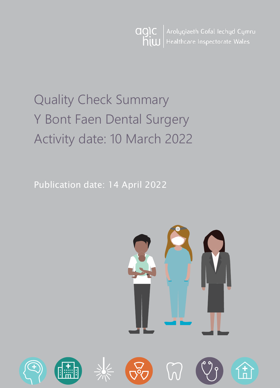Arolygiaeth Gofal Iechyd Cymru agic  $h$ <sub>i</sub>  $\omega$ Healthcare Inspectorate Wales

# Quality Check Summary Y Bont Faen Dental Surgery Activity date: 10 March 2022

Publication date: 14 April 2022

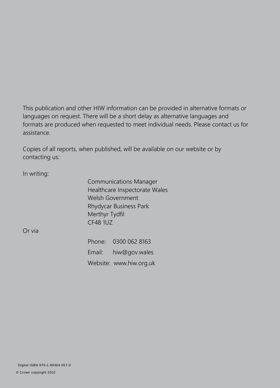This publication and other HIW information can be provided in alternative formats or languages on request. There will be a short delay as alternative languages and formats are produced when requested to meet individual needs. Please contact us for assistance.

Copies of all reports, when published, will be available on our website or by contacting us:

In writing:

Communications Manager Healthcare Inspectorate Wales Welsh Government Rhydycar Business Park Merthyr Tydfil CF48 1UZ

Or via

Phone: 0300 062 8163 Email: [hiw@gov.wales](mailto:hiw@gov.wales) Website: [www.hiw.org.uk](http://www.hiw.org.uk/)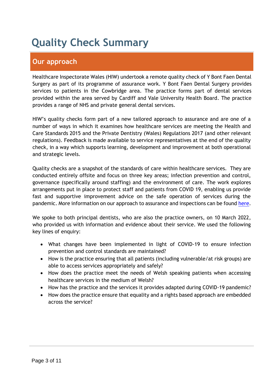## **Quality Check Summary**

## **Our approach**

Healthcare Inspectorate Wales (HIW) undertook a remote quality check of Y Bont Faen Dental Surgery as part of its programme of assurance work. Y Bont Faen Dental Surgery provides services to patients in the Cowbridge area. The practice forms part of dental services provided within the area served by Cardiff and Vale University Health Board. The practice provides a range of NHS and private general dental services.

HIW's quality checks form part of a new tailored approach to assurance and are one of a number of ways in which it examines how healthcare services are meeting the Health and Care Standards 2015 and the Private Dentistry (Wales) Regulations 2017 (and other relevant regulations). Feedback is made available to service representatives at the end of the quality check, in a way which supports learning, development and improvement at both operational and strategic levels.

Quality checks are a snapshot of the standards of care within healthcare services. They are conducted entirely offsite and focus on three key areas; infection prevention and control, governance (specifically around staffing) and the environment of care. The work explores arrangements put in place to protect staff and patients from COVID 19, enabling us provide fast and supportive improvement advice on the safe operation of services during the pandemic. More information on our approach to assurance and inspections can be found [here.](https://hiw.org.uk/covid-19-response-and-our-approach-assurance-and-inspection)

We spoke to both principal dentists, who are also the practice owners, on 10 March 2022, who provided us with information and evidence about their service. We used the following key lines of enquiry:

- What changes have been implemented in light of COVID-19 to ensure infection prevention and control standards are maintained?
- How is the practice ensuring that all patients (including vulnerable/at risk groups) are able to access services appropriately and safely?
- How does the practice meet the needs of Welsh speaking patients when accessing healthcare services in the medium of Welsh?
- How has the practice and the services it provides adapted during COVID-19 pandemic?
- How does the practice ensure that equality and a rights based approach are embedded across the service?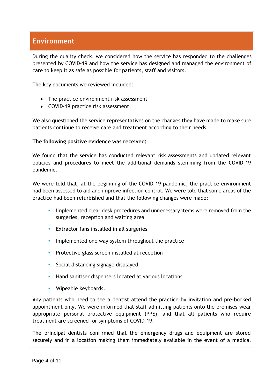## **Environment**

During the quality check, we considered how the service has responded to the challenges presented by COVID-19 and how the service has designed and managed the environment of care to keep it as safe as possible for patients, staff and visitors.

The key documents we reviewed included:

- The practice environment risk assessment
- COVID-19 practice risk assessment.

We also questioned the service representatives on the changes they have made to make sure patients continue to receive care and treatment according to their needs.

#### **The following positive evidence was received:**

We found that the service has conducted relevant risk assessments and updated relevant policies and procedures to meet the additional demands stemming from the COVID-19 pandemic.

We were told that, at the beginning of the COVID-19 pandemic, the practice environment had been assessed to aid and improve infection control. We were told that some areas of the practice had been refurbished and that the following changes were made:

- **Implemented clear desk procedures and unnecessary items were removed from the** surgeries, reception and waiting area
- Extractor fans installed in all surgeries
- Implemented one way system throughout the practice
- Protective glass screen installed at reception
- Social distancing signage displayed
- Hand sanitiser dispensers located at various locations
- Wipeable keyboards.

Any patients who need to see a dentist attend the practice by invitation and pre-booked appointment only. We were informed that staff admitting patients onto the premises wear appropriate personal protective equipment (PPE), and that all patients who require treatment are screened for symptoms of COVID-19.

The principal dentists confirmed that the emergency drugs and equipment are stored securely and in a location making them immediately available in the event of a medical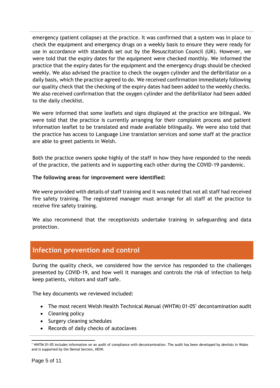emergency (patient collapse) at the practice. It was confirmed that a system was in place to check the equipment and emergency drugs on a weekly basis to ensure they were ready for use in accordance with standards set out by the Resuscitation Council (UK). However, we were told that the expiry dates for the equipment were checked monthly. We informed the practice that the expiry dates for the equipment and the emergency drugs should be checked weekly. We also advised the practice to check the oxygen cylinder and the defibrillator on a daily basis, which the practice agreed to do. We received confirmation immediately following our quality check that the checking of the expiry dates had been added to the weekly checks. We also received confirmation that the oxygen cylinder and the defibrillator had been added to the daily checklist.

We were informed that some leaflets and signs displayed at the practice are bilingual. We were told that the practice is currently arranging for their complaint process and patient information leaflet to be translated and made available bilingually. We were also told that the practice has access to Language Line translation services and some staff at the practice are able to greet patients in Welsh.

Both the practice owners spoke highly of the staff in how they have responded to the needs of the practice, the patients and in supporting each other during the COVID-19 pandemic.

#### **The following areas for improvement were identified:**

We were provided with details of staff training and it was noted that not all staff had received fire safety training. The registered manager must arrange for all staff at the practice to receive fire safety training.

We also recommend that the receptionists undertake training in safeguarding and data protection.

### **Infection prevention and control**

During the quality check, we considered how the service has responded to the challenges presented by COVID-19, and how well it manages and controls the risk of infection to help keep patients, visitors and staff safe.

The key documents we reviewed included:

- The most recent Welsh Health Technical Manual (WHTM) 01-05<sup>1</sup> decontamination audit
- Cleaning policy
- Surgery cleaning schedules
- Records of daily checks of autoclaves

 $\overline{a}$ <sup>1</sup> WHTM 01-05 includes information on an audit of compliance with decontamination. The audit has been developed by dentists in Wales and is supported by the Dental Section, HEIW.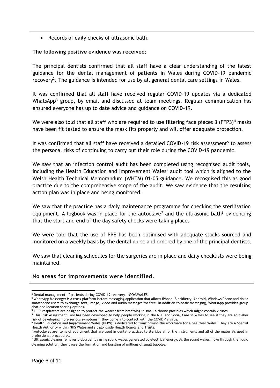Records of daily checks of ultrasonic bath.

#### **The following positive evidence was received:**

The principal dentists confirmed that all staff have a clear understanding of the latest guidance for the dental management of patients in Wales during COVID-19 pandemic recovery<sup>2</sup>. The guidance is intended for use by all general dental care settings in Wales.

It was confirmed that all staff have received regular COVID-19 updates via a dedicated WhatsApp<sup>3</sup> group, by email and discussed at team meetings. Regular communication has ensured everyone has up to date advice and guidance on COVID-19.

We were also told that all staff who are required to use filtering face pieces 3 (FFP3)<sup>4</sup> masks have been fit tested to ensure the mask fits properly and will offer adequate protection.

It was confirmed that all staff have received a detailed COVID-19 risk assessment<sup>5</sup> to assess the personal risks of continuing to carry out their role during the COVID-19 pandemic.

We saw that an infection control audit has been completed using recognised audit tools, including the Health Education and Improvement Wales<sup>6</sup> audit tool which is aligned to the Welsh Health Technical Memorandum (WHTM) 01-05 guidance. We recognised this as good practice due to the comprehensive scope of the audit. We saw evidence that the resulting action plan was in place and being monitored.

We saw that the practice has a daily maintenance programme for checking the sterilisation equipment. A logbook was in place for the autoclave<sup>7</sup> and the ultrasonic bath<sup>8</sup> evidencing that the start and end of the day safety checks were taking place.

We were told that the use of PPE has been optimised with adequate stocks sourced and monitored on a weekly basis by the dental nurse and ordered by one of the principal dentists.

We saw that cleaning schedules for the surgeries are in place and daily checklists were being maintained.

#### **No areas for improvements were identified.**

 $\overline{a}$ <sup>2</sup> [Dental management of patients during COVID-19 recovery | GOV.WALES.](https://gov.wales/dental-management-patients-during-covid-19-recovery)

<sup>&</sup>lt;sup>3</sup> WhatsApp Messenger is a cross-platform instant messaging application that allows iPhone, BlackBerry, Android, Windows Phone and Nokia smartphone users to exchange text, image, video and audio messages for free. In addition to basic messaging, WhatsApp provides group chat and location sharing options.

<sup>4</sup> FFP3 respirators are designed to protect the wearer from breathing in small airborne particles which might contain viruses.

<sup>&</sup>lt;sup>5</sup> This Risk Assessment Tool has been developed to help people working in the NHS and Social Care in Wales to see if they are at higher risk of developing more serious symptoms if they come into contact with the COVID-19 virus.

<sup>6</sup> Health Education and Improvement Wales (HEIW) is dedicated to transforming the workforce for a healthier Wales. They are a Special Health Authority within NHS Wales and sit alongside Health Boards and Trusts.

 $<sup>7</sup>$  Autoclaves are items of equipment that are used in dental practices to sterilize all of the instruments and all of the materials used in</sup> professional procedures.

<sup>&</sup>lt;sup>8</sup> Ultrasonic cleaner removes bioburden by using sound waves generated by electrical energy. As the sound waves move through the liquid cleaning solution, they cause the formation and bursting of millions of small bubbles.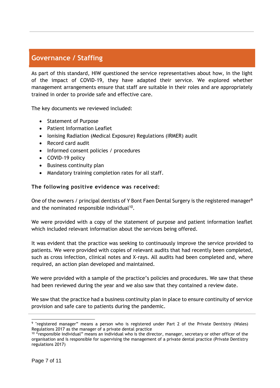## **Governance / Staffing**

As part of this standard, HIW questioned the service representatives about how, in the light of the impact of COVID-19, they have adapted their service. We explored whether management arrangements ensure that staff are suitable in their roles and are appropriately trained in order to provide safe and effective care.

The key documents we reviewed included:

- Statement of Purpose
- Patient Information Leaflet
- Ionising Radiation (Medical Exposure) Regulations (IRMER) audit
- Record card audit
- Informed consent policies / procedures
- COVID-19 policy
- Business continuity plan
- Mandatory training completion rates for all staff.

#### **The following positive evidence was received:**

One of the owners / principal dentists of Y Bont Faen Dental Surgery is the registered manager<sup>9</sup> and the nominated responsible individual<sup>10</sup>.

We were provided with a copy of the statement of purpose and patient information leaflet which included relevant information about the services being offered.

It was evident that the practice was seeking to continuously improve the service provided to patients. We were provided with copies of relevant audits that had recently been completed, such as cross infection, clinical notes and X-rays. All audits had been completed and, where required, an action plan developed and maintained.

We were provided with a sample of the practice's policies and procedures. We saw that these had been reviewed during the year and we also saw that they contained a review date.

We saw that the practice had a business continuity plan in place to ensure continuity of service provision and safe care to patients during the pandemic.

<sup>&</sup>lt;sup>9</sup> "registered manager" means a person who is registered under Part 2 of the Private Dentistry (Wales) Regulations 2017 as the manager of a private dental practice

<sup>&</sup>lt;sup>10</sup> "responsible individual" means an individual who is the director, manager, secretary or other officer of the organisation and is responsible for supervising the management of a private dental practice (Private Dentistry regulations 2017)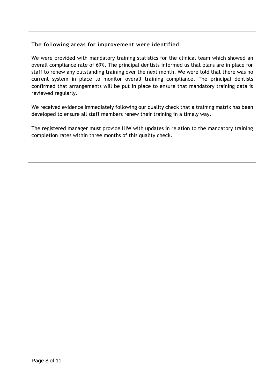#### **The following areas for improvement were identified:**

We were provided with mandatory training statistics for the clinical team which showed an overall compliance rate of 69%. The principal dentists informed us that plans are in place for staff to renew any outstanding training over the next month. We were told that there was no current system in place to monitor overall training compliance. The principal dentists confirmed that arrangements will be put in place to ensure that mandatory training data is reviewed regularly.

We received evidence immediately following our quality check that a training matrix has been developed to ensure all staff members renew their training in a timely way.

The registered manager must provide HIW with updates in relation to the mandatory training completion rates within three months of this quality check.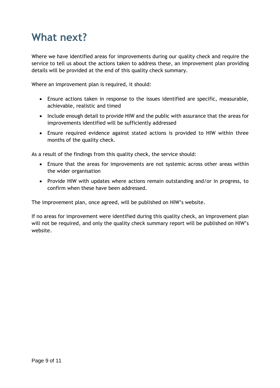## **What next?**

Where we have identified areas for improvements during our quality check and require the service to tell us about the actions taken to address these, an improvement plan providing details will be provided at the end of this quality check summary.

Where an improvement plan is required, it should:

- Ensure actions taken in response to the issues identified are specific, measurable, achievable, realistic and timed
- Include enough detail to provide HIW and the public with assurance that the areas for improvements identified will be sufficiently addressed
- Ensure required evidence against stated actions is provided to HIW within three months of the quality check.

As a result of the findings from this quality check, the service should:

- Ensure that the areas for improvements are not systemic across other areas within the wider organisation
- Provide HIW with updates where actions remain outstanding and/or in progress, to confirm when these have been addressed.

The improvement plan, once agreed, will be published on HIW's website.

If no areas for improvement were identified during this quality check, an improvement plan will not be required, and only the quality check summary report will be published on HIW's website.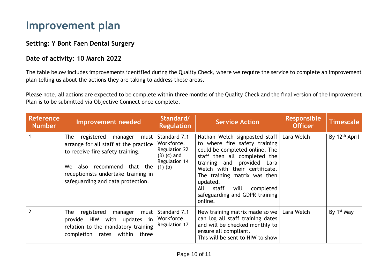## **Improvement plan**

### **Setting: Y Bont Faen Dental Surgery**

### **Date of activity: 10 March 2022**

The table below includes improvements identified during the Quality Check, where we require the service to complete an improvement plan telling us about the actions they are taking to address these areas.

Please note, all actions are expected to be complete within three months of the Quality Check and the final version of the Improvement Plan is to be submitted via Objective Connect once complete.

| <b>Reference</b><br><b>Number</b> | <b>Improvement needed</b>                                                                                                                                                                                                   | Standard/<br><b>Regulation</b>                                                                    | <b>Service Action</b>                                                                                                                                                                                                                                                                                                                      | <b>Responsible</b><br><b>Officer</b> | Timescale                 |
|-----------------------------------|-----------------------------------------------------------------------------------------------------------------------------------------------------------------------------------------------------------------------------|---------------------------------------------------------------------------------------------------|--------------------------------------------------------------------------------------------------------------------------------------------------------------------------------------------------------------------------------------------------------------------------------------------------------------------------------------------|--------------------------------------|---------------------------|
|                                   | The registered<br>manager<br>must<br>arrange for all staff at the practice<br>to receive fire safety training.<br>also recommend that the<br>We<br>receptionists undertake training in<br>safeguarding and data protection. | Standard 7.1<br>Workforce.<br><b>Regulation 22</b><br>$(3)$ (c) and<br>Regulation 14<br>$(1)$ (b) | Nathan Welch signposted staff   Lara Welch<br>to where fire safety training<br>could be completed online. The<br>staff then all completed the<br>training and provided Lara<br>Welch with their certificate.<br>The training matrix was then<br>updated.<br>staff<br>completed<br>will<br>All<br>safeguarding and GDPR training<br>online. |                                      | By 12 <sup>th</sup> April |
| $\overline{2}$                    | The<br>registered<br>manager<br>must<br>provide HIW with updates<br>in<br>relation to the mandatory training<br>completion<br>rates<br>within<br>three                                                                      | Standard 7.1<br>Workforce.<br>Regulation 17                                                       | New training matrix made so we<br>can log all staff training dates<br>and will be checked monthly to<br>ensure all compliant.<br>This will be sent to HIW to show                                                                                                                                                                          | Lara Welch                           | By 1 <sup>st</sup> May    |